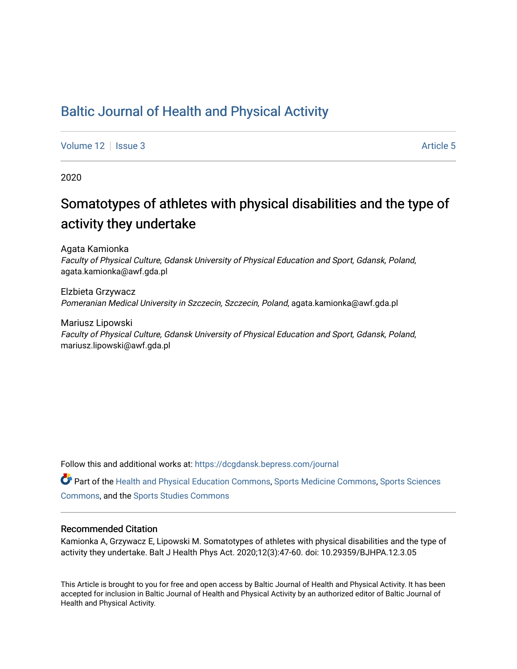# [Baltic Journal of Health and Physical Activity](https://dcgdansk.bepress.com/journal)

[Volume 12](https://dcgdansk.bepress.com/journal/vol12) Setus 2 Article 5

2020

# Somatotypes of athletes with physical disabilities and the type of activity they undertake

Agata Kamionka Faculty of Physical Culture, Gdansk University of Physical Education and Sport, Gdansk, Poland, agata.kamionka@awf.gda.pl

Elzbieta Grzywacz Pomeranian Medical University in Szczecin, Szczecin, Poland, agata.kamionka@awf.gda.pl

Mariusz Lipowski Faculty of Physical Culture, Gdansk University of Physical Education and Sport, Gdansk, Poland, mariusz.lipowski@awf.gda.pl

Follow this and additional works at: [https://dcgdansk.bepress.com/journal](https://dcgdansk.bepress.com/journal?utm_source=dcgdansk.bepress.com%2Fjournal%2Fvol12%2Fiss3%2F5&utm_medium=PDF&utm_campaign=PDFCoverPages)

Part of the [Health and Physical Education Commons](http://network.bepress.com/hgg/discipline/1327?utm_source=dcgdansk.bepress.com%2Fjournal%2Fvol12%2Fiss3%2F5&utm_medium=PDF&utm_campaign=PDFCoverPages), [Sports Medicine Commons,](http://network.bepress.com/hgg/discipline/1331?utm_source=dcgdansk.bepress.com%2Fjournal%2Fvol12%2Fiss3%2F5&utm_medium=PDF&utm_campaign=PDFCoverPages) [Sports Sciences](http://network.bepress.com/hgg/discipline/759?utm_source=dcgdansk.bepress.com%2Fjournal%2Fvol12%2Fiss3%2F5&utm_medium=PDF&utm_campaign=PDFCoverPages) [Commons](http://network.bepress.com/hgg/discipline/759?utm_source=dcgdansk.bepress.com%2Fjournal%2Fvol12%2Fiss3%2F5&utm_medium=PDF&utm_campaign=PDFCoverPages), and the [Sports Studies Commons](http://network.bepress.com/hgg/discipline/1198?utm_source=dcgdansk.bepress.com%2Fjournal%2Fvol12%2Fiss3%2F5&utm_medium=PDF&utm_campaign=PDFCoverPages) 

#### Recommended Citation

Kamionka A, Grzywacz E, Lipowski M. Somatotypes of athletes with physical disabilities and the type of activity they undertake. Balt J Health Phys Act. 2020;12(3):47-60. doi: 10.29359/BJHPA.12.3.05

This Article is brought to you for free and open access by Baltic Journal of Health and Physical Activity. It has been accepted for inclusion in Baltic Journal of Health and Physical Activity by an authorized editor of Baltic Journal of Health and Physical Activity.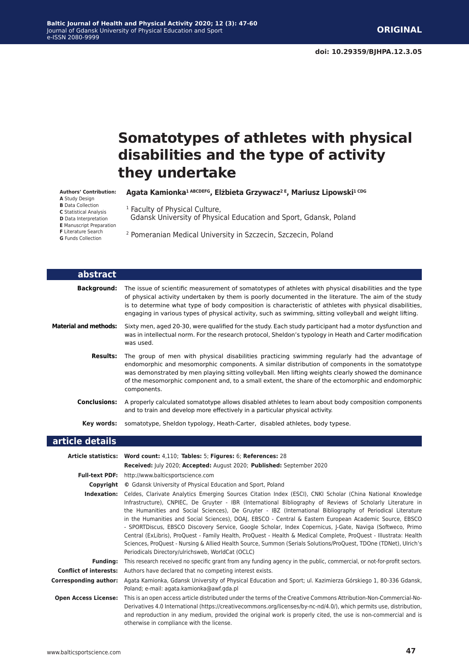# **Somatotypes of athletes with physical disabilities and the type of activity they undertake**

**Agata Kamionka1 ABCDEFG, Elżbieta Grzywacz2 E, Mariusz Lipowski1 CDG**

**Authors' Contribution: A** Study Design **B** Data Collection

Gdansk University of Physical Education and Sport, Gdansk, Poland

<sup>1</sup> Faculty of Physical Culture,

2 Pomeranian Medical University in Szczecin, Szczecin, Poland

| abstract                      |                                                                                                                                                                                                                                                                                                                                                                                                                                                                                                                                                                                                                                                                                                                                                                                                                                                               |
|-------------------------------|---------------------------------------------------------------------------------------------------------------------------------------------------------------------------------------------------------------------------------------------------------------------------------------------------------------------------------------------------------------------------------------------------------------------------------------------------------------------------------------------------------------------------------------------------------------------------------------------------------------------------------------------------------------------------------------------------------------------------------------------------------------------------------------------------------------------------------------------------------------|
| <b>Background:</b>            | The issue of scientific measurement of somatotypes of athletes with physical disabilities and the type<br>of physical activity undertaken by them is poorly documented in the literature. The aim of the study<br>is to determine what type of body composition is characteristic of athletes with physical disabilities,<br>engaging in various types of physical activity, such as swimming, sitting volleyball and weight lifting.                                                                                                                                                                                                                                                                                                                                                                                                                         |
| <b>Material and methods:</b>  | Sixty men, aged 20-30, were qualified for the study. Each study participant had a motor dysfunction and<br>was in intellectual norm. For the research protocol, Sheldon's typology in Heath and Carter modification<br>was used.                                                                                                                                                                                                                                                                                                                                                                                                                                                                                                                                                                                                                              |
| <b>Results:</b>               | The group of men with physical disabilities practicing swimming regularly had the advantage of<br>endomorphic and mesomorphic components. A similar distribution of components in the somatotype<br>was demonstrated by men playing sitting volleyball. Men lifting weights clearly showed the dominance<br>of the mesomorphic component and, to a small extent, the share of the ectomorphic and endomorphic<br>components.                                                                                                                                                                                                                                                                                                                                                                                                                                  |
| <b>Conclusions:</b>           | A properly calculated somatotype allows disabled athletes to learn about body composition components<br>and to train and develop more effectively in a particular physical activity.                                                                                                                                                                                                                                                                                                                                                                                                                                                                                                                                                                                                                                                                          |
| Key words:                    | somatotype, Sheldon typology, Heath-Carter, disabled athletes, body typese.                                                                                                                                                                                                                                                                                                                                                                                                                                                                                                                                                                                                                                                                                                                                                                                   |
| article details               |                                                                                                                                                                                                                                                                                                                                                                                                                                                                                                                                                                                                                                                                                                                                                                                                                                                               |
|                               | Article statistics: Word count: 4,110; Tables: 5; Figures: 6; References: 28                                                                                                                                                                                                                                                                                                                                                                                                                                                                                                                                                                                                                                                                                                                                                                                  |
|                               | Received: July 2020; Accepted: August 2020; Published: September 2020                                                                                                                                                                                                                                                                                                                                                                                                                                                                                                                                                                                                                                                                                                                                                                                         |
| <b>Full-text PDF:</b>         | http://www.balticsportscience.com                                                                                                                                                                                                                                                                                                                                                                                                                                                                                                                                                                                                                                                                                                                                                                                                                             |
| Copyright                     | © Gdansk University of Physical Education and Sport, Poland                                                                                                                                                                                                                                                                                                                                                                                                                                                                                                                                                                                                                                                                                                                                                                                                   |
| Indexation:                   | Celdes, Clarivate Analytics Emerging Sources Citation Index (ESCI), CNKI Scholar (China National Knowledge<br>Infrastructure), CNPIEC, De Gruyter - IBR (International Bibliography of Reviews of Scholarly Literature in<br>the Humanities and Social Sciences), De Gruyter - IBZ (International Bibliography of Periodical Literature<br>in the Humanities and Social Sciences), DOAJ, EBSCO - Central & Eastern European Academic Source, EBSCO<br>- SPORTDiscus, EBSCO Discovery Service, Google Scholar, Index Copernicus, J-Gate, Naviga (Softweco, Primo<br>Central (ExLibris), ProQuest - Family Health, ProQuest - Health & Medical Complete, ProQuest - Illustrata: Health<br>Sciences, ProQuest - Nursing & Allied Health Source, Summon (Serials Solutions/ProQuest, TDOne (TDNet), Ulrich's<br>Periodicals Directory/ulrichsweb, WorldCat (OCLC) |
| <b>Funding:</b>               | This research received no specific grant from any funding agency in the public, commercial, or not-for-profit sectors.                                                                                                                                                                                                                                                                                                                                                                                                                                                                                                                                                                                                                                                                                                                                        |
| <b>Conflict of interests:</b> | Authors have declared that no competing interest exists.                                                                                                                                                                                                                                                                                                                                                                                                                                                                                                                                                                                                                                                                                                                                                                                                      |
| <b>Corresponding author:</b>  | Agata Kamionka, Gdansk University of Physical Education and Sport; ul. Kazimierza Górskiego 1, 80-336 Gdansk,<br>Poland; e-mail: agata.kamionka@awf.gda.pl                                                                                                                                                                                                                                                                                                                                                                                                                                                                                                                                                                                                                                                                                                    |
| <b>Open Access License:</b>   | This is an open access article distributed under the terms of the Creative Commons Attribution-Non-Commercial-No-<br>Derivatives 4.0 International (https://creativecommons.org/licenses/by-nc-nd/4.0/), which permits use, distribution,<br>and reproduction in any medium, provided the original work is properly cited, the use is non-commercial and is                                                                                                                                                                                                                                                                                                                                                                                                                                                                                                   |

**C** Statistical Analysis **D** Data Interpretation **E** Manuscript Preparation **F** Literature Search **G** Funds Collection

Г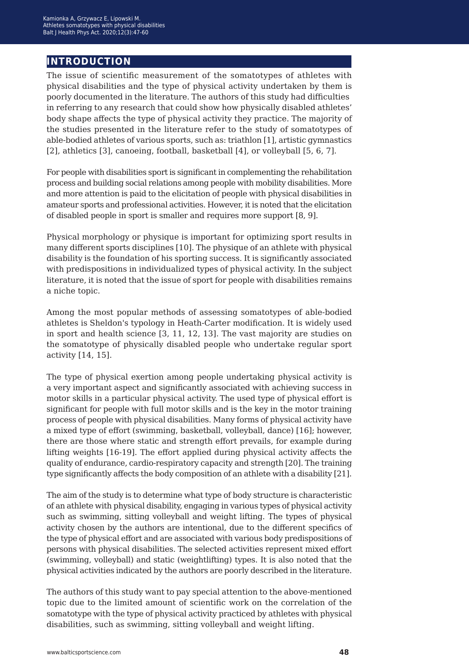# **introduction**

The issue of scientific measurement of the somatotypes of athletes with physical disabilities and the type of physical activity undertaken by them is poorly documented in the literature. The authors of this study had difficulties in referring to any research that could show how physically disabled athletes' body shape affects the type of physical activity they practice. The majority of the studies presented in the literature refer to the study of somatotypes of able-bodied athletes of various sports, such as: triathlon [1], artistic gymnastics [2], athletics [3], canoeing, football, basketball [4], or volleyball [5, 6, 7].

For people with disabilities sport is significant in complementing the rehabilitation process and building social relations among people with mobility disabilities. More and more attention is paid to the elicitation of people with physical disabilities in amateur sports and professional activities. However, it is noted that the elicitation of disabled people in sport is smaller and requires more support [8, 9].

Physical morphology or physique is important for optimizing sport results in many different sports disciplines [10]. The physique of an athlete with physical disability is the foundation of his sporting success. It is significantly associated with predispositions in individualized types of physical activity. In the subject literature, it is noted that the issue of sport for people with disabilities remains a niche topic.

Among the most popular methods of assessing somatotypes of able-bodied athletes is Sheldon's typology in Heath-Carter modification. It is widely used in sport and health science [3, 11, 12, 13]. The vast majority are studies on the somatotype of physically disabled people who undertake regular sport activity [14, 15].

The type of physical exertion among people undertaking physical activity is a very important aspect and significantly associated with achieving success in motor skills in a particular physical activity. The used type of physical effort is significant for people with full motor skills and is the key in the motor training process of people with physical disabilities. Many forms of physical activity have a mixed type of effort (swimming, basketball, volleyball, dance) [16]; however, there are those where static and strength effort prevails, for example during lifting weights [16-19]. The effort applied during physical activity affects the quality of endurance, cardio-respiratory capacity and strength [20]. The training type significantly affects the body composition of an athlete with a disability [21].

The aim of the study is to determine what type of body structure is characteristic of an athlete with physical disability, engaging in various types of physical activity such as swimming, sitting volleyball and weight lifting. The types of physical activity chosen by the authors are intentional, due to the different specifics of the type of physical effort and are associated with various body predispositions of persons with physical disabilities. The selected activities represent mixed effort (swimming, volleyball) and static (weightlifting) types. It is also noted that the physical activities indicated by the authors are poorly described in the literature.

The authors of this study want to pay special attention to the above-mentioned topic due to the limited amount of scientific work on the correlation of the somatotype with the type of physical activity practiced by athletes with physical disabilities, such as swimming, sitting volleyball and weight lifting.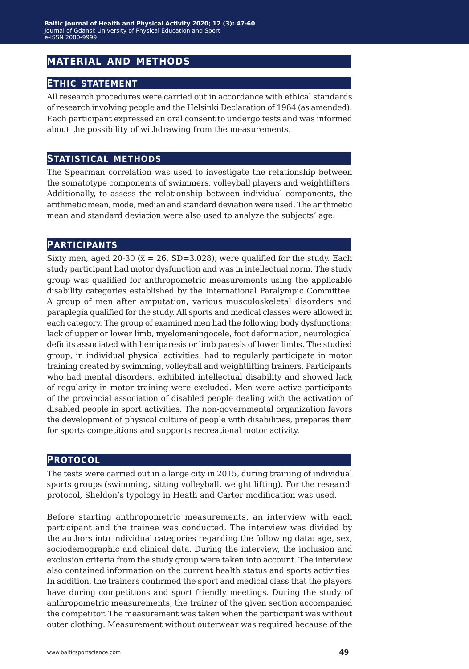# **material and methods**

# **ethic statement**

All research procedures were carried out in accordance with ethical standards of research involving people and the Helsinki Declaration of 1964 (as amended). Each participant expressed an oral consent to undergo tests and was informed about the possibility of withdrawing from the measurements.

## **statistical methods**

The Spearman correlation was used to investigate the relationship between the somatotype components of swimmers, volleyball players and weightlifters. Additionally, to assess the relationship between individual components, the arithmetic mean, mode, median and standard deviation were used. The arithmetic mean and standard deviation were also used to analyze the subjects' age.

#### **participants**

Sixty men, aged 20-30 ( $\bar{x}$  = 26, SD=3.028), were qualified for the study. Each study participant had motor dysfunction and was in intellectual norm. The study group was qualified for anthropometric measurements using the applicable disability categories established by the International Paralympic Committee. A group of men after amputation, various musculoskeletal disorders and paraplegia qualified for the study. All sports and medical classes were allowed in each category. The group of examined men had the following body dysfunctions: lack of upper or lower limb, myelomeningocele, foot deformation, neurological deficits associated with hemiparesis or limb paresis of lower limbs. The studied group, in individual physical activities, had to regularly participate in motor training created by swimming, volleyball and weightlifting trainers. Participants who had mental disorders, exhibited intellectual disability and showed lack of regularity in motor training were excluded. Men were active participants of the provincial association of disabled people dealing with the activation of disabled people in sport activities. The non-governmental organization favors the development of physical culture of people with disabilities, prepares them for sports competitions and supports recreational motor activity.

#### **protocol**

The tests were carried out in a large city in 2015, during training of individual sports groups (swimming, sitting volleyball, weight lifting). For the research protocol, Sheldon's typology in Heath and Carter modification was used.

Before starting anthropometric measurements, an interview with each participant and the trainee was conducted. The interview was divided by the authors into individual categories regarding the following data: age, sex, sociodemographic and clinical data. During the interview, the inclusion and exclusion criteria from the study group were taken into account. The interview also contained information on the current health status and sports activities. In addition, the trainers confirmed the sport and medical class that the players have during competitions and sport friendly meetings. During the study of anthropometric measurements, the trainer of the given section accompanied the competitor. The measurement was taken when the participant was without outer clothing. Measurement without outerwear was required because of the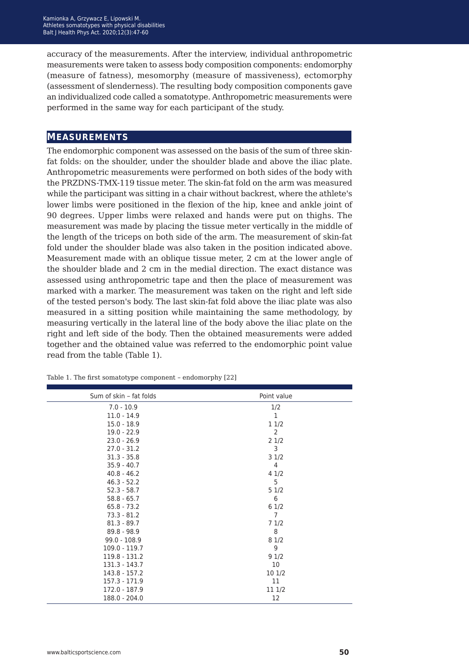accuracy of the measurements. After the interview, individual anthropometric measurements were taken to assess body composition components: endomorphy (measure of fatness), mesomorphy (measure of massiveness), ectomorphy (assessment of slenderness). The resulting body composition components gave an individualized code called a somatotype. Anthropometric measurements were performed in the same way for each participant of the study.

### **measurements**

The endomorphic component was assessed on the basis of the sum of three skinfat folds: on the shoulder, under the shoulder blade and above the iliac plate. Anthropometric measurements were performed on both sides of the body with the PRZDNS-TMX-119 tissue meter. The skin-fat fold on the arm was measured while the participant was sitting in a chair without backrest, where the athlete's lower limbs were positioned in the flexion of the hip, knee and ankle joint of 90 degrees. Upper limbs were relaxed and hands were put on thighs. The measurement was made by placing the tissue meter vertically in the middle of the length of the triceps on both side of the arm. The measurement of skin-fat fold under the shoulder blade was also taken in the position indicated above. Measurement made with an oblique tissue meter, 2 cm at the lower angle of the shoulder blade and 2 cm in the medial direction. The exact distance was assessed using anthropometric tape and then the place of measurement was marked with a marker. The measurement was taken on the right and left side of the tested person's body. The last skin-fat fold above the iliac plate was also measured in a sitting position while maintaining the same methodology, by measuring vertically in the lateral line of the body above the iliac plate on the right and left side of the body. Then the obtained measurements were added together and the obtained value was referred to the endomorphic point value read from the table (Table 1).

| Sum of skin - fat folds | Point value    |  |  |
|-------------------------|----------------|--|--|
| $7.0 - 10.9$            | 1/2            |  |  |
| $11.0 - 14.9$           | $\mathbf{1}$   |  |  |
| $15.0 - 18.9$           | 11/2           |  |  |
| $19.0 - 22.9$           | 2              |  |  |
| $23.0 - 26.9$           | 21/2           |  |  |
| $27.0 - 31.2$           | 3              |  |  |
| $31.3 - 35.8$           | 31/2           |  |  |
| $35.9 - 40.7$           | $\overline{4}$ |  |  |
| $40.8 - 46.2$           | 41/2           |  |  |
| $46.3 - 52.2$           | 5              |  |  |
| $52.3 - 58.7$           | 51/2           |  |  |
| $58.8 - 65.7$           | 6              |  |  |
| $65.8 - 73.2$           | 61/2           |  |  |
| $73.3 - 81.2$           | 7              |  |  |
| $81.3 - 89.7$           | 71/2           |  |  |
| $89.8 - 98.9$           | 8              |  |  |
| $99.0 - 108.9$          | 81/2           |  |  |
| $109.0 - 119.7$         | 9              |  |  |
| 119.8 - 131.2           | 91/2           |  |  |
| 131.3 - 143.7           | 10             |  |  |
| 143.8 - 157.2           | 101/2          |  |  |
| 157.3 - 171.9           | 11             |  |  |
| 172.0 - 187.9           | 11 1/2         |  |  |
| 188.0 - 204.0           | 12             |  |  |

Table 1. The first somatotype component *−* endomorphy [22]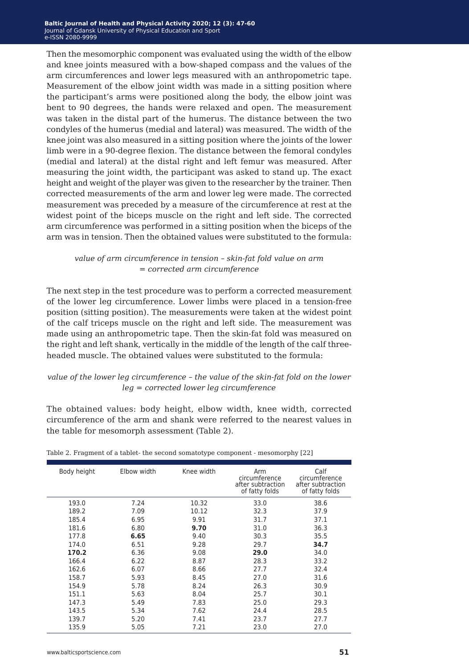Then the mesomorphic component was evaluated using the width of the elbow and knee joints measured with a bow-shaped compass and the values of the arm circumferences and lower legs measured with an anthropometric tape. Measurement of the elbow joint width was made in a sitting position where the participant's arms were positioned along the body, the elbow joint was bent to 90 degrees, the hands were relaxed and open. The measurement was taken in the distal part of the humerus. The distance between the two condyles of the humerus (medial and lateral) was measured. The width of the knee joint was also measured in a sitting position where the joints of the lower limb were in a 90-degree flexion. The distance between the femoral condyles (medial and lateral) at the distal right and left femur was measured. After measuring the joint width, the participant was asked to stand up. The exact height and weight of the player was given to the researcher by the trainer. Then corrected measurements of the arm and lower leg were made. The corrected measurement was preceded by a measure of the circumference at rest at the widest point of the biceps muscle on the right and left side. The corrected arm circumference was performed in a sitting position when the biceps of the arm was in tension. Then the obtained values were substituted to the formula:

#### *value of arm circumference in tension − skin-fat fold value on arm = corrected arm circumference*

The next step in the test procedure was to perform a corrected measurement of the lower leg circumference. Lower limbs were placed in a tension-free position (sitting position). The measurements were taken at the widest point of the calf triceps muscle on the right and left side. The measurement was made using an anthropometric tape. Then the skin-fat fold was measured on the right and left shank, vertically in the middle of the length of the calf threeheaded muscle. The obtained values were substituted to the formula:

#### *value of the lower leg circumference − the value of the skin-fat fold on the lower leg = corrected lower leg circumference*

The obtained values: body height, elbow width, knee width, corrected circumference of the arm and shank were referred to the nearest values in the table for mesomorph assessment (Table 2).

| Body height | Elbow width | Knee width | Arm<br>circumference<br>after subtraction<br>of fatty folds | Calf<br>circumference<br>after subtraction<br>of fatty folds |
|-------------|-------------|------------|-------------------------------------------------------------|--------------------------------------------------------------|
| 193.0       | 7.24        | 10.32      | 33.0                                                        | 38.6                                                         |
| 189.2       | 7.09        | 10.12      | 32.3                                                        | 37.9                                                         |
| 185.4       | 6.95        | 9.91       | 31.7                                                        | 37.1                                                         |
| 181.6       | 6.80        | 9.70       | 31.0                                                        | 36.3                                                         |
| 177.8       | 6.65        | 9.40       | 30.3                                                        | 35.5                                                         |
| 174.0       | 6.51        | 9.28       | 29.7                                                        | 34.7                                                         |
| 170.2       | 6.36        | 9.08       | 29.0                                                        | 34.0                                                         |
| 166.4       | 6.22        | 8.87       | 28.3                                                        | 33.2                                                         |
| 162.6       | 6.07        | 8.66       | 27.7                                                        | 32.4                                                         |
| 158.7       | 5.93        | 8.45       | 27.0                                                        | 31.6                                                         |
| 154.9       | 5.78        | 8.24       | 26.3                                                        | 30.9                                                         |
| 151.1       | 5.63        | 8.04       | 25.7                                                        | 30.1                                                         |
| 147.3       | 5.49        | 7.83       | 25.0                                                        | 29.3                                                         |
| 143.5       | 5.34        | 7.62       | 24.4                                                        | 28.5                                                         |
| 139.7       | 5.20        | 7.41       | 23.7                                                        | 27.7                                                         |
| 135.9       | 5.05        | 7.21       | 23.0                                                        | 27.0                                                         |

Table 2. Fragment of a tablet- the second somatotype component - mesomorphy [22]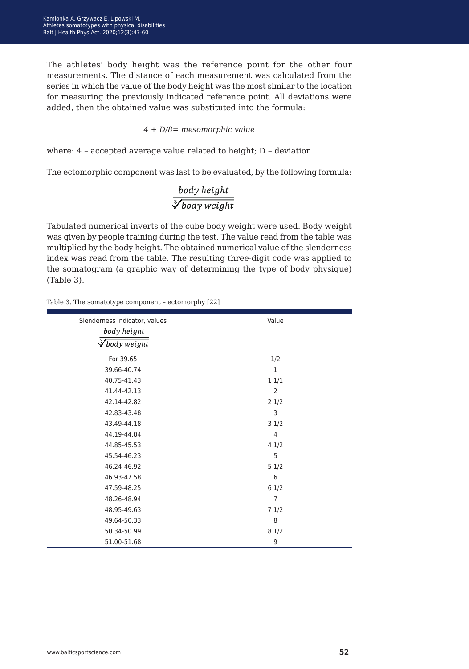The athletes' body height was the reference point for the other four measurements. The distance of each measurement was calculated from the series in which the value of the body height was the most similar to the location for measuring the previously indicated reference point. All deviations were added, then the obtained value was substituted into the formula:

#### *4 + D/8= mesomorphic value*

where: 4 *−* accepted average value related to height; D *−* deviation

The ectomorphic component was last to be evaluated, by the following formula:

# $\frac{body\ height}{\sqrt[3]{body\ weight}}$

Tabulated numerical inverts of the cube body weight were used. Body weight was given by people training during the test. The value read from the table was multiplied by the body height. The obtained numerical value of the slenderness index was read from the table. The resulting three-digit code was applied to the somatogram (a graphic way of determining the type of body physique) (Table 3).

#### Table 3. The somatotype component – ectomorphy [22]

| Slenderness indicator, values<br>body height<br>$\sqrt[3]{$ body weight | Value          |
|-------------------------------------------------------------------------|----------------|
| For 39.65                                                               | 1/2            |
| 39.66-40.74                                                             | $\mathbf{1}$   |
| 40.75-41.43                                                             | 11/1           |
| 41.44-42.13                                                             | $\overline{2}$ |
| 42.14-42.82                                                             | 21/2           |
| 42.83-43.48                                                             | 3              |
| 43.49-44.18                                                             | 31/2           |
| 44.19-44.84                                                             | $\overline{4}$ |
| 44.85-45.53                                                             | 41/2           |
| 45.54-46.23                                                             | 5              |
| 46.24-46.92                                                             | 51/2           |
| 46.93-47.58                                                             | 6              |
| 47.59-48.25                                                             | 6 1/2          |
| 48.26-48.94                                                             | $\overline{7}$ |
| 48.95-49.63                                                             | 71/2           |
| 49.64-50.33                                                             | 8              |
| 50.34-50.99                                                             | 8 1/2          |
| 51.00-51.68                                                             | 9              |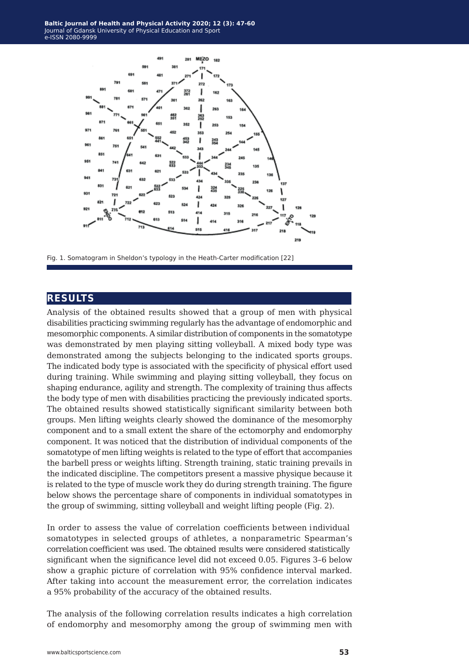

Fig. 1. Somatogram in Sheldon's typology in the Heath-Carter modification [22]

# **results**

Analysis of the obtained results showed that a group of men with physical disabilities practicing swimming regularly has the advantage of endomorphic and mesomorphic components. A similar distribution of components in the somatotype was demonstrated by men playing sitting volleyball. A mixed body type was demonstrated among the subjects belonging to the indicated sports groups. The indicated body type is associated with the specificity of physical effort used during training. While swimming and playing sitting volleyball, they focus on shaping endurance, agility and strength. The complexity of training thus affects the body type of men with disabilities practicing the previously indicated sports. The obtained results showed statistically significant similarity between both groups. Men lifting weights clearly showed the dominance of the mesomorphy component and to a small extent the share of the ectomorphy and endomorphy component. It was noticed that the distribution of individual components of the somatotype of men lifting weights is related to the type of effort that accompanies the barbell press or weights lifting. Strength training, static training prevails in the indicated discipline. The competitors present a massive physique because it is related to the type of muscle work they do during strength training. The figure below shows the percentage share of components in individual somatotypes in the group of swimming, sitting volleyball and weight lifting people (Fig. 2).

In order to assess the value of correlation coefficients between individual somatotypes in selected groups of athletes, a nonparametric Spearman's correlation coefficient was used. The obtained results were considered statistically significant when the significance level did not exceed 0.05. Figures 3–6 below show a graphic picture of correlation with 95% confidence interval marked. After taking into account the measurement error, the correlation indicates a 95% probability of the accuracy of the obtained results.

The analysis of the following correlation results indicates a high correlation of endomorphy and mesomorphy among the group of swimming men with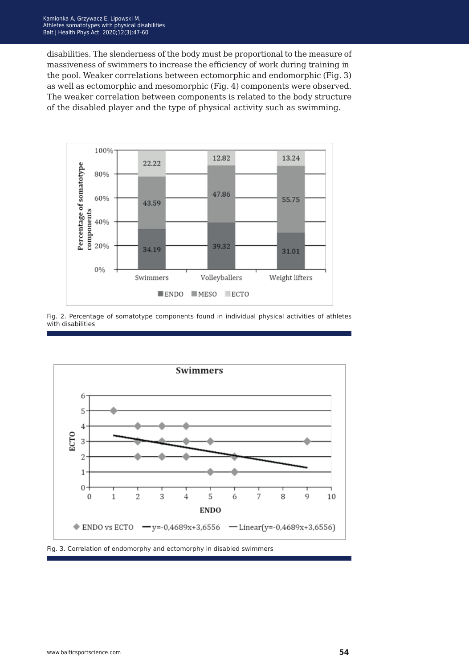disabilities. The slenderness of the body must be proportional to the measure of massiveness of swimmers to increase the efficiency of work during training in the pool. Weaker correlations between ectomorphic and endomorphic (Fig. 3) as well as ectomorphic and mesomorphic (Fig. 4) components were observed. The weaker correlation between components is related to the body structure of the disabled player and the type of physical activity such as swimming.



Fig. 2. Percentage of somatotype components found in individual physical activities of athletes with disabilities



Fig. 3. Correlation of endomorphy and ectomorphy in disabled swimmers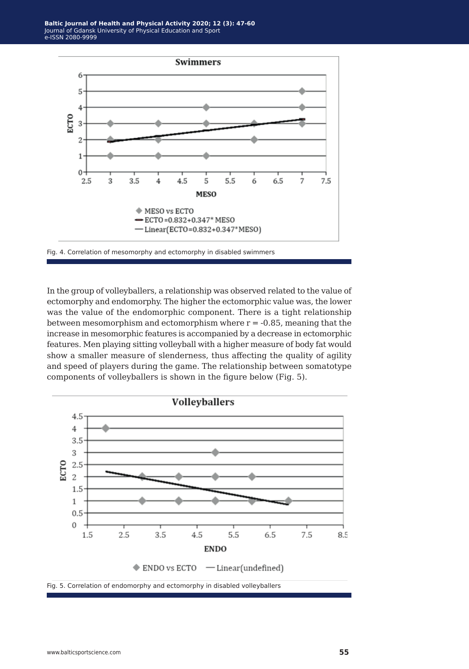

Fig. 4. Correlation of mesomorphy and ectomorphy in disabled swimmers

In the group of volleyballers, a relationship was observed related to the value of ectomorphy and endomorphy. The higher the ectomorphic value was, the lower was the value of the endomorphic component. There is a tight relationship between mesomorphism and ectomorphism where  $r = -0.85$ , meaning that the increase in mesomorphic features is accompanied by a decrease in ectomorphic features. Men playing sitting volleyball with a higher measure of body fat would show a smaller measure of slenderness, thus affecting the quality of agility and speed of players during the game. The relationship between somatotype components of volleyballers is shown in the figure below (Fig. 5).

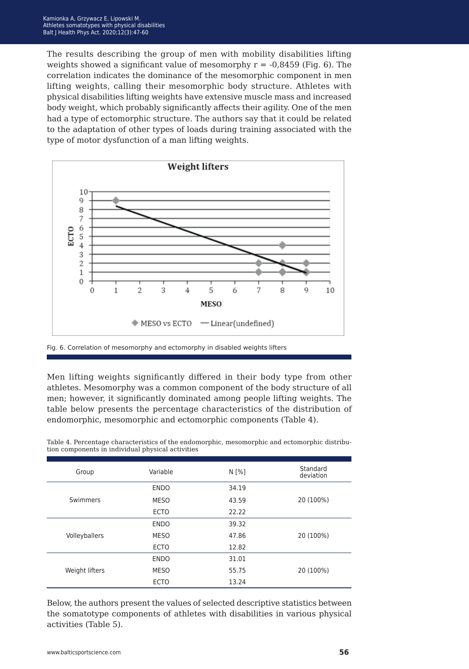The results describing the group of men with mobility disabilities lifting weights showed a significant value of mesomorphy  $r = -0.8459$  (Fig. 6). The correlation indicates the dominance of the mesomorphic component in men lifting weights, calling their mesomorphic body structure. Athletes with physical disabilities lifting weights have extensive muscle mass and increased body weight, which probably significantly affects their agility. One of the men had a type of ectomorphic structure. The authors say that it could be related to the adaptation of other types of loads during training associated with the type of motor dysfunction of a man lifting weights.



Fig. 6. Correlation of mesomorphy and ectomorphy in disabled weights lifters

Men lifting weights significantly differed in their body type from other athletes. Mesomorphy was a common component of the body structure of all men; however, it significantly dominated among people lifting weights. The table below presents the percentage characteristics of the distribution of endomorphic, mesomorphic and ectomorphic components (Table 4).

| Group          | Variable    | $N \sim 1$ | Standard<br>deviation |
|----------------|-------------|------------|-----------------------|
|                | <b>ENDO</b> | 34.19      |                       |
| Swimmers       | <b>MESO</b> | 43.59      | 20 (100%)             |
|                | <b>ECTO</b> | 22.22      |                       |
|                | <b>ENDO</b> | 39.32      |                       |
| Volleyballers  | <b>MESO</b> | 47.86      | 20 (100%)             |
|                | <b>ECTO</b> | 12.82      |                       |
|                | <b>ENDO</b> | 31.01      |                       |
| Weight lifters | <b>MESO</b> | 55.75      | 20 (100%)             |
|                | <b>ECTO</b> | 13.24      |                       |

Table 4. Percentage characteristics of the endomorphic, mesomorphic and ectomorphic distribution components in individual physical activities

Below, the authors present the values of selected descriptive statistics between the somatotype components of athletes with disabilities in various physical activities (Table 5).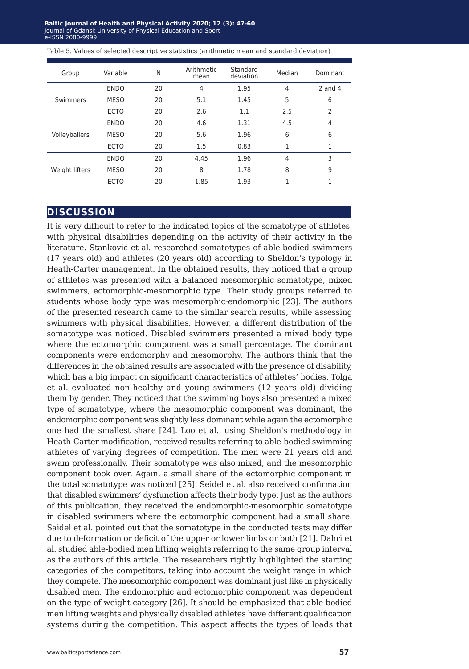Baltic Journal of Health and Physical Activity 2020; 12 (3): 47-60 Journal of Gdansk University of Physical Education and Sport e-ISSN 2080-9999 **e-ISSN** 2080-9999

Table 5. Values of selected descriptive statistics (arithmetic mean and standard deviation)

| Group          | Variable    | N  | Arithmetic<br>mean | Standard<br>deviation | Median | Dominant       |
|----------------|-------------|----|--------------------|-----------------------|--------|----------------|
| Swimmers       | <b>ENDO</b> | 20 | $\overline{4}$     | 1.95                  | 4      | $2$ and $4$    |
|                | <b>MESO</b> | 20 | 5.1                | 1.45                  | 5      | 6              |
|                | <b>ECTO</b> | 20 | 2.6                | 1.1                   | 2.5    | $\overline{2}$ |
| Volleyballers  | <b>ENDO</b> | 20 | 4.6                | 1.31                  | 4.5    | 4              |
|                | <b>MESO</b> | 20 | 5.6                | 1.96                  | 6      | 6              |
|                | <b>ECTO</b> | 20 | 1.5                | 0.83                  |        |                |
| Weight lifters | <b>ENDO</b> | 20 | 4.45               | 1.96                  | 4      | 3              |
|                | <b>MESO</b> | 20 | 8                  | 1.78                  | 8      | 9              |
|                | <b>ECTO</b> | 20 | 1.85               | 1.93                  |        |                |

## **discussion**

It is very difficult to refer to the indicated topics of the somatotype of athletes with physical disabilities depending on the activity of their activity in the literature. Stanković et al. researched somatotypes of able-bodied swimmers (17 years old) and athletes (20 years old) according to Sheldon's typology in Heath-Carter management. In the obtained results, they noticed that a group of athletes was presented with a balanced mesomorphic somatotype, mixed swimmers, ectomorphic-mesomorphic type. Their study groups referred to students whose body type was mesomorphic-endomorphic [23]. The authors of the presented research came to the similar search results, while assessing swimmers with physical disabilities. However, a different distribution of the somatotype was noticed. Disabled swimmers presented a mixed body type where the ectomorphic component was a small percentage. The dominant components were endomorphy and mesomorphy. The authors think that the differences in the obtained results are associated with the presence of disability, which has a big impact on significant characteristics of athletes' bodies. Tolga et al. evaluated non-healthy and young swimmers (12 years old) dividing them by gender. They noticed that the swimming boys also presented a mixed type of somatotype, where the mesomorphic component was dominant, the endomorphic component was slightly less dominant while again the ectomorphic one had the smallest share [24]. Loo et al., using Sheldon's methodology in Heath-Carter modification, received results referring to able-bodied swimming athletes of varying degrees of competition. The men were 21 years old and swam professionally. Their somatotype was also mixed, and the mesomorphic component took over. Again, a small share of the ectomorphic component in the total somatotype was noticed [25]. Seidel et al. also received confirmation that disabled swimmers' dysfunction affects their body type. Just as the authors of this publication, they received the endomorphic-mesomorphic somatotype in disabled swimmers where the ectomorphic component had a small share. Saidel et al. pointed out that the somatotype in the conducted tests may differ due to deformation or deficit of the upper or lower limbs or both [21]. Dahri et al. studied able-bodied men lifting weights referring to the same group interval as the authors of this article. The researchers rightly highlighted the starting categories of the competitors, taking into account the weight range in which they compete. The mesomorphic component was dominant just like in physically disabled men. The endomorphic and ectomorphic component was dependent on the type of weight category [26]. It should be emphasized that able-bodied men lifting weights and physically disabled athletes have different qualification systems during the competition. This aspect affects the types of loads that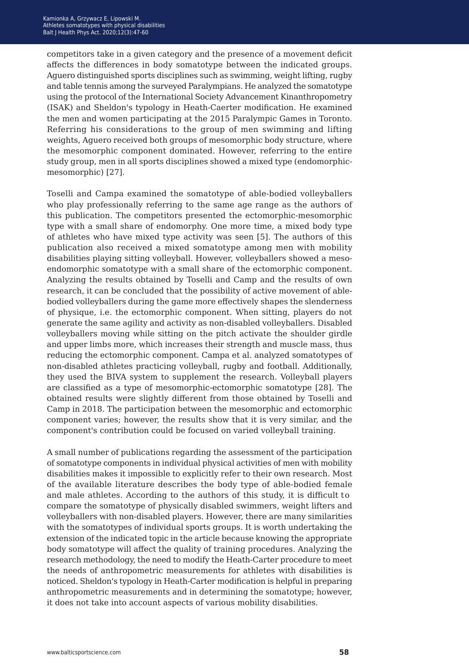competitors take in a given category and the presence of a movement deficit affects the differences in body somatotype between the indicated groups. Aguero distinguished sports disciplines such as swimming, weight lifting, rugby and table tennis among the surveyed Paralympians. He analyzed the somatotype using the protocol of the International Society Advancement Kinanthropometry (ISAK) and Sheldon's typology in Heath-Caerter modification. He examined the men and women participating at the 2015 Paralympic Games in Toronto. Referring his considerations to the group of men swimming and lifting weights, Aguero received both groups of mesomorphic body structure, where the mesomorphic component dominated. However, referring to the entire study group, men in all sports disciplines showed a mixed type (endomorphicmesomorphic) [27].

Toselli and Campa examined the somatotype of able-bodied volleyballers who play professionally referring to the same age range as the authors of this publication. The competitors presented the ectomorphic-mesomorphic type with a small share of endomorphy. One more time, a mixed body type of athletes who have mixed type activity was seen [5]. The authors of this publication also received a mixed somatotype among men with mobility disabilities playing sitting volleyball. However, volleyballers showed a mesoendomorphic somatotype with a small share of the ectomorphic component. Analyzing the results obtained by Toselli and Camp and the results of own research, it can be concluded that the possibility of active movement of ablebodied volleyballers during the game more effectively shapes the slenderness of physique, i.e. the ectomorphic component. When sitting, players do not generate the same agility and activity as non-disabled volleyballers. Disabled volleyballers moving while sitting on the pitch activate the shoulder girdle and upper limbs more, which increases their strength and muscle mass, thus reducing the ectomorphic component. Campa et al. analyzed somatotypes of non-disabled athletes practicing volleyball, rugby and football. Additionally, they used the BIVA system to supplement the research. Volleyball players are classified as a type of mesomorphic-ectomorphic somatotype [28]. The obtained results were slightly different from those obtained by Toselli and Camp in 2018. The participation between the mesomorphic and ectomorphic component varies; however, the results show that it is very similar, and the component's contribution could be focused on varied volleyball training.

A small number of publications regarding the assessment of the participation of somatotype components in individual physical activities of men with mobility disabilities makes it impossible to explicitly refer to their own research. Most of the available literature describes the body type of able-bodied female and male athletes. According to the authors of this study, it is difficult to compare the somatotype of physically disabled swimmers, weight lifters and volleyballers with non-disabled players. However, there are many similarities with the somatotypes of individual sports groups. It is worth undertaking the extension of the indicated topic in the article because knowing the appropriate body somatotype will affect the quality of training procedures. Analyzing the research methodology, the need to modify the Heath-Carter procedure to meet the needs of anthropometric measurements for athletes with disabilities is noticed. Sheldon's typology in Heath-Carter modification is helpful in preparing anthropometric measurements and in determining the somatotype; however, it does not take into account aspects of various mobility disabilities.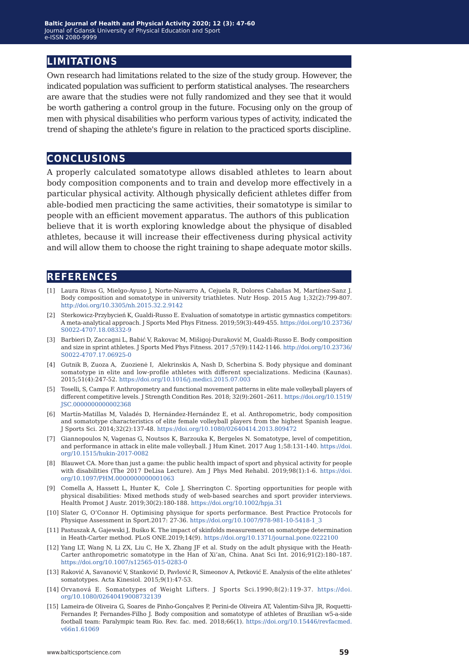# **limitations**

Own research had limitations related to the size of the study group. However, the indicated population was sufficient to perform statistical analyses. The researchers are aware that the studies were not fully randomized and they see that it would be worth gathering a control group in the future. Focusing only on the group of men with physical disabilities who perform various types of activity, indicated the trend of shaping the athlete's figure in relation to the practiced sports discipline.

# **conclusions**

A properly calculated somatotype allows disabled athletes to learn about body composition components and to train and develop more effectively in a particular physical activity. Although physically deficient athletes differ from able-bodied men practicing the same activities, their somatotype is similar to people with an efficient movement apparatus. The authors of this publication believe that it is worth exploring knowledge about the physique of disabled athletes, because it will increase their effectiveness during physical activity and will allow them to choose the right training to shape adequate motor skills.

## **references**

- [1] Laura Rivas G, Mielgo-Ayuso J, Norte-Navarro A, Cejuela R, Dolores Cabañas M, Martínez-Sanz J. Body composition and somatotype in university triathletes. Nutr Hosp. 2015 Aug 1;32(2):799-807. <http://doi.org/10.3305/nh.2015.32.2.9142>
- [2] Sterkowicz-Przybycień K, Gualdi-Russo E. Evaluation of somatotype in artistic gymnastics competitors: A meta-analytical approach. J Sports Med Phys Fitness. 2019;59(3):449-455. [https://doi.org/10.23736/](https://doi.org/10.23736/S0022-4707.18.08332-9) [S0022-4707.18.08332-9](https://doi.org/10.23736/S0022-4707.18.08332-9)
- [3] Barbieri D, Zaccagni L, Babić V, Rakovac M, Mišigoj-Duraković M, Gualdi-Russo E. Body composition and size in sprint athletes. J Sports Med Phys Fitness. 2017 ;57(9):1142-1146. [http://doi.org/10.23736/](http://doi.org/10.23736/S0022-4707.17.06925-0) [S0022-4707.17.06925-0](http://doi.org/10.23736/S0022-4707.17.06925-0)
- [4] Gutnik B, Zuoza A, Zuozienė I, Alekrinskis A, Nash D, Scherbina S. Body physique and dominant somatotype in elite and low-profile athletes with different specializations. Medicina (Kaunas). 2015;51(4):247-52.<https://doi.org/10.1016/j.medici.2015.07.003>
- [5] Toselli, S, Campa F. Anthropometry and functional movement patterns in elite male volleyball players of different competitive levels. J Strength Condition Res. 2018; 32(9):2601–2611. [https://doi.org/10.1519/](https://doi.org/10.1519/JSC.0000000000002368) [JSC.0000000000002368](https://doi.org/10.1519/JSC.0000000000002368)
- [6] Martín-Matillas M, Valadés D, Hernández-Hernández E, et al. Anthropometric, body composition and somatotype characteristics of elite female volleyball players from the highest Spanish league. J Sports Sci. 2014;32(2):137-48.<https://doi.org/10.1080/02640414.2013.809472>
- [7] Giannopoulos N, Vagenas G, Noutsos K, Barzouka K, Bergeles N. Somatotype, level of competition, and performance in attack in elite male volleyball. J Hum Kinet. 2017 Aug 1;58:131-140. [https://doi.](https://doi.org/10.1515/hukin-2017-0082) [org/10.1515/hukin-2017-0082](https://doi.org/10.1515/hukin-2017-0082)
- [8] Blauwet CA. More than just a game: the public health impact of sport and physical activity for people with disabilities (The 2017 DeLisa Lecture). Am J Phys Med Rehabil. 2019;98(1):1-6. [https://doi.](https://doi.org/10.1097/PHM.0000000000001063) [org/10.1097/PHM.0000000000001063](https://doi.org/10.1097/PHM.0000000000001063)
- [9] Comella A, Hassett L, Hunter K, Cole J, Sherrington C. Sporting opportunities for people with physical disabilities: Mixed methods study of web-based searches and sport provider interviews. Health Promot J Austr. 2019;30(2):180-188. <https://doi.org/10.1002/hpja.31>
- [10] Slater G, O'Connor H. Optimising physique for sports performance. Best Practice Protocols for Physique Assessment in Sport.2017: 27-36. [https://doi.org/10.1007/978-981-10-5418-1\\_3](https://doi.org/10.1007/978-981-10-5418-1_3)
- [11] Pastuszak A, Gajewski J, Buśko K. The impact of skinfolds measurement on somatotype determination in Heath-Carter method. PLoS ONE.2019;14(9). <https://doi.org/10.1371/journal.pone.0222100>
- [12] Yang LT, Wang N, Li ZX, Liu C, He X, Zhang JF et al. Study on the adult physique with the Heath-Carter anthropometric somatotype in the Han of Xi'an, China. Anat Sci Int. 2016;91(2):180–187. <https://doi.org/10.1007/s12565-015-0283-0>
- [13] Raković A, Savanović V, Stanković D, Pavlović R, Simeonov A, Petković E. Analysis of the elite athletes' somatotypes. Acta Kinesiol. 2015;9(1):47‐53.
- [14] Orvanová E. Somatotypes of Weight Lifters. J Sports Sci.1990;8(2):119-37. [https://doi.](https://doi.org/10.1080/02640419008732139) [org/10.1080/02640419008732139](https://doi.org/10.1080/02640419008732139)
- [15] Lameira-de Oliveira G, Soares de Pinho-Gonçalves P, Perini-de Oliveira AT, Valentim-Silva JR, Roquetti-Fernandes P, Fernandes-Filho J. Body composition and somatotype of athletes of Brazilian w5-a-side football team: Paralympic team Rio. Rev. fac. med. 2018;66(1). [https://doi.org/10.15446/revfacmed.](https://doi.org/10.15446/revfacmed.v66n1.61069) [v66n1.61069](https://doi.org/10.15446/revfacmed.v66n1.61069)